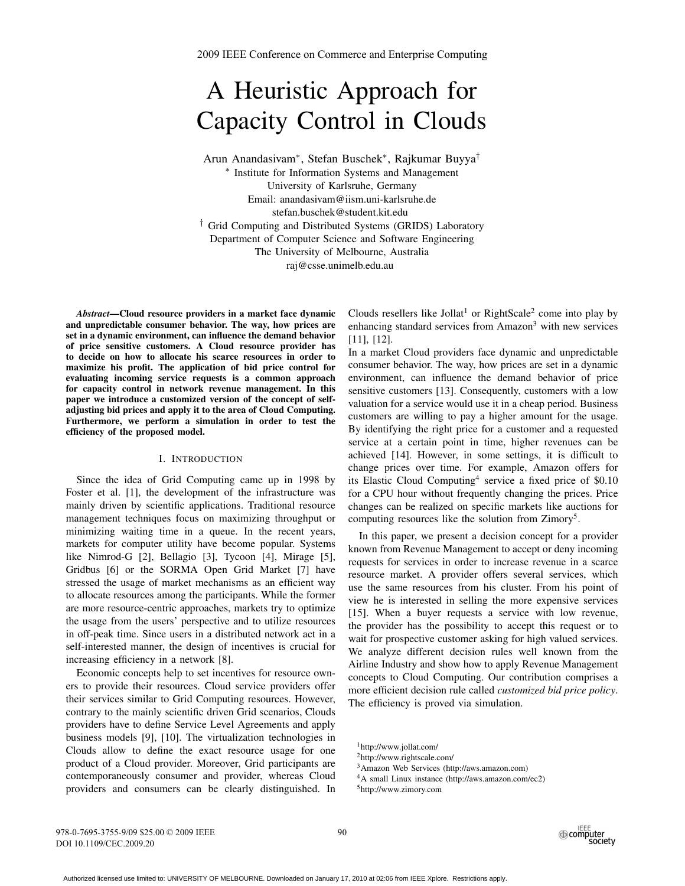# A Heuristic Approach for Capacity Control in Clouds

Arun Anandasivam<sup>∗</sup> , Stefan Buschek<sup>∗</sup> , Rajkumar Buyya† ∗ Institute for Information Systems and Management University of Karlsruhe, Germany Email: anandasivam@iism.uni-karlsruhe.de stefan.buschek@student.kit.edu † Grid Computing and Distributed Systems (GRIDS) Laboratory Department of Computer Science and Software Engineering The University of Melbourne, Australia raj@csse.unimelb.edu.au

*Abstract*—Cloud resource providers in a market face dynamic and unpredictable consumer behavior. The way, how prices are set in a dynamic environment, can influence the demand behavior of price sensitive customers. A Cloud resource provider has to decide on how to allocate his scarce resources in order to maximize his profit. The application of bid price control for evaluating incoming service requests is a common approach for capacity control in network revenue management. In this paper we introduce a customized version of the concept of selfadjusting bid prices and apply it to the area of Cloud Computing. Furthermore, we perform a simulation in order to test the efficiency of the proposed model.

# I. INTRODUCTION

Since the idea of Grid Computing came up in 1998 by Foster et al. [1], the development of the infrastructure was mainly driven by scientific applications. Traditional resource management techniques focus on maximizing throughput or minimizing waiting time in a queue. In the recent years, markets for computer utility have become popular. Systems like Nimrod-G [2], Bellagio [3], Tycoon [4], Mirage [5], Gridbus [6] or the SORMA Open Grid Market [7] have stressed the usage of market mechanisms as an efficient way to allocate resources among the participants. While the former are more resource-centric approaches, markets try to optimize the usage from the users' perspective and to utilize resources in off-peak time. Since users in a distributed network act in a self-interested manner, the design of incentives is crucial for increasing efficiency in a network [8].

Economic concepts help to set incentives for resource owners to provide their resources. Cloud service providers offer their services similar to Grid Computing resources. However, contrary to the mainly scientific driven Grid scenarios, Clouds providers have to define Service Level Agreements and apply business models [9], [10]. The virtualization technologies in Clouds allow to define the exact resource usage for one product of a Cloud provider. Moreover, Grid participants are contemporaneously consumer and provider, whereas Cloud providers and consumers can be clearly distinguished. In

Clouds resellers like Jollat<sup>1</sup> or RightScale<sup>2</sup> come into play by enhancing standard services from  $A$ mazon<sup>3</sup> with new services [11], [12].

In a market Cloud providers face dynamic and unpredictable consumer behavior. The way, how prices are set in a dynamic environment, can influence the demand behavior of price sensitive customers [13]. Consequently, customers with a low valuation for a service would use it in a cheap period. Business customers are willing to pay a higher amount for the usage. By identifying the right price for a customer and a requested service at a certain point in time, higher revenues can be achieved [14]. However, in some settings, it is difficult to change prices over time. For example, Amazon offers for its Elastic Cloud Computing<sup>4</sup> service a fixed price of \$0.10 for a CPU hour without frequently changing the prices. Price changes can be realized on specific markets like auctions for computing resources like the solution from Zimory<sup>5</sup>.

In this paper, we present a decision concept for a provider known from Revenue Management to accept or deny incoming requests for services in order to increase revenue in a scarce resource market. A provider offers several services, which use the same resources from his cluster. From his point of view he is interested in selling the more expensive services [15]. When a buyer requests a service with low revenue, the provider has the possibility to accept this request or to wait for prospective customer asking for high valued services. We analyze different decision rules well known from the Airline Industry and show how to apply Revenue Management concepts to Cloud Computing. Our contribution comprises a more efficient decision rule called *customized bid price policy*. The efficiency is proved via simulation.

<sup>5</sup>http://www.zimory.com



<sup>1</sup>http://www.jollat.com/

<sup>2</sup>http://www.rightscale.com/

<sup>3</sup>Amazon Web Services (http://aws.amazon.com)

<sup>4</sup>A small Linux instance (http://aws.amazon.com/ec2)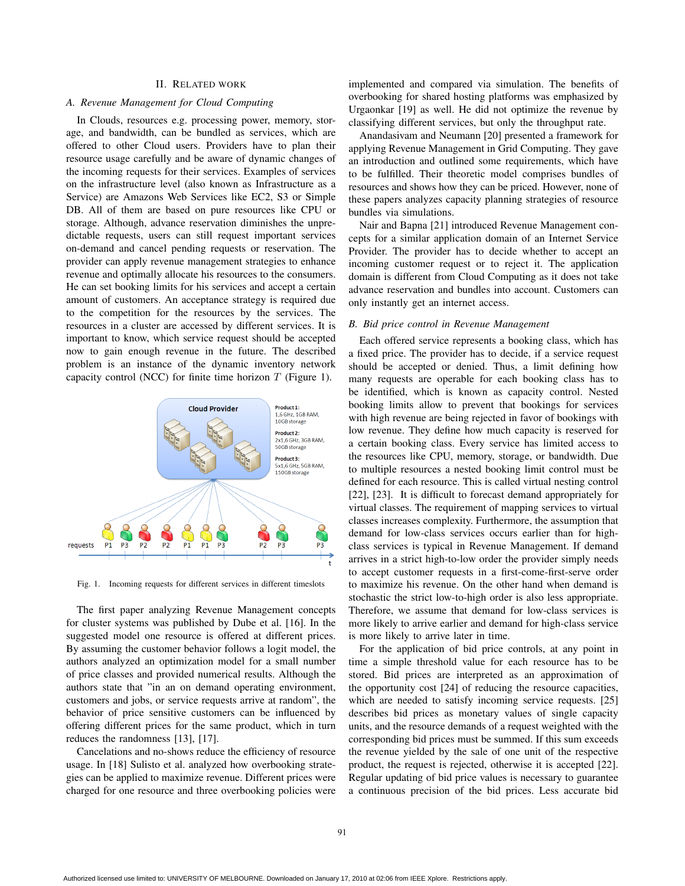#### II. RELATED WORK

## *A. Revenue Management for Cloud Computing*

In Clouds, resources e.g. processing power, memory, storage, and bandwidth, can be bundled as services, which are offered to other Cloud users. Providers have to plan their resource usage carefully and be aware of dynamic changes of the incoming requests for their services. Examples of services on the infrastructure level (also known as Infrastructure as a Service) are Amazons Web Services like EC2, S3 or Simple DB. All of them are based on pure resources like CPU or storage. Although, advance reservation diminishes the unpredictable requests, users can still request important services on-demand and cancel pending requests or reservation. The provider can apply revenue management strategies to enhance revenue and optimally allocate his resources to the consumers. He can set booking limits for his services and accept a certain amount of customers. An acceptance strategy is required due to the competition for the resources by the services. The resources in a cluster are accessed by different services. It is important to know, which service request should be accepted now to gain enough revenue in the future. The described problem is an instance of the dynamic inventory network capacity control (NCC) for finite time horizon  $T$  (Figure 1).



Fig. 1. Incoming requests for different services in different timeslots

The first paper analyzing Revenue Management concepts for cluster systems was published by Dube et al. [16]. In the suggested model one resource is offered at different prices. By assuming the customer behavior follows a logit model, the authors analyzed an optimization model for a small number of price classes and provided numerical results. Although the authors state that "in an on demand operating environment, customers and jobs, or service requests arrive at random", the behavior of price sensitive customers can be influenced by offering different prices for the same product, which in turn reduces the randomness [13], [17].

Cancelations and no-shows reduce the efficiency of resource usage. In [18] Sulisto et al. analyzed how overbooking strategies can be applied to maximize revenue. Different prices were charged for one resource and three overbooking policies were

implemented and compared via simulation. The benefits of overbooking for shared hosting platforms was emphasized by Urgaonkar [19] as well. He did not optimize the revenue by classifying different services, but only the throughput rate.

Anandasivam and Neumann [20] presented a framework for applying Revenue Management in Grid Computing. They gave an introduction and outlined some requirements, which have to be fulfilled. Their theoretic model comprises bundles of resources and shows how they can be priced. However, none of these papers analyzes capacity planning strategies of resource bundles via simulations.

Nair and Bapna [21] introduced Revenue Management concepts for a similar application domain of an Internet Service Provider. The provider has to decide whether to accept an incoming customer request or to reject it. The application domain is different from Cloud Computing as it does not take advance reservation and bundles into account. Customers can only instantly get an internet access.

#### *B. Bid price control in Revenue Management*

Each offered service represents a booking class, which has a fixed price. The provider has to decide, if a service request should be accepted or denied. Thus, a limit defining how many requests are operable for each booking class has to be identified, which is known as capacity control. Nested booking limits allow to prevent that bookings for services with high revenue are being rejected in favor of bookings with low revenue. They define how much capacity is reserved for a certain booking class. Every service has limited access to the resources like CPU, memory, storage, or bandwidth. Due to multiple resources a nested booking limit control must be defined for each resource. This is called virtual nesting control [22], [23]. It is difficult to forecast demand appropriately for virtual classes. The requirement of mapping services to virtual classes increases complexity. Furthermore, the assumption that demand for low-class services occurs earlier than for highclass services is typical in Revenue Management. If demand arrives in a strict high-to-low order the provider simply needs to accept customer requests in a first-come-first-serve order to maximize his revenue. On the other hand when demand is stochastic the strict low-to-high order is also less appropriate. Therefore, we assume that demand for low-class services is more likely to arrive earlier and demand for high-class service is more likely to arrive later in time.

For the application of bid price controls, at any point in time a simple threshold value for each resource has to be stored. Bid prices are interpreted as an approximation of the opportunity cost [24] of reducing the resource capacities, which are needed to satisfy incoming service requests. [25] describes bid prices as monetary values of single capacity units, and the resource demands of a request weighted with the corresponding bid prices must be summed. If this sum exceeds the revenue yielded by the sale of one unit of the respective product, the request is rejected, otherwise it is accepted [22]. Regular updating of bid price values is necessary to guarantee a continuous precision of the bid prices. Less accurate bid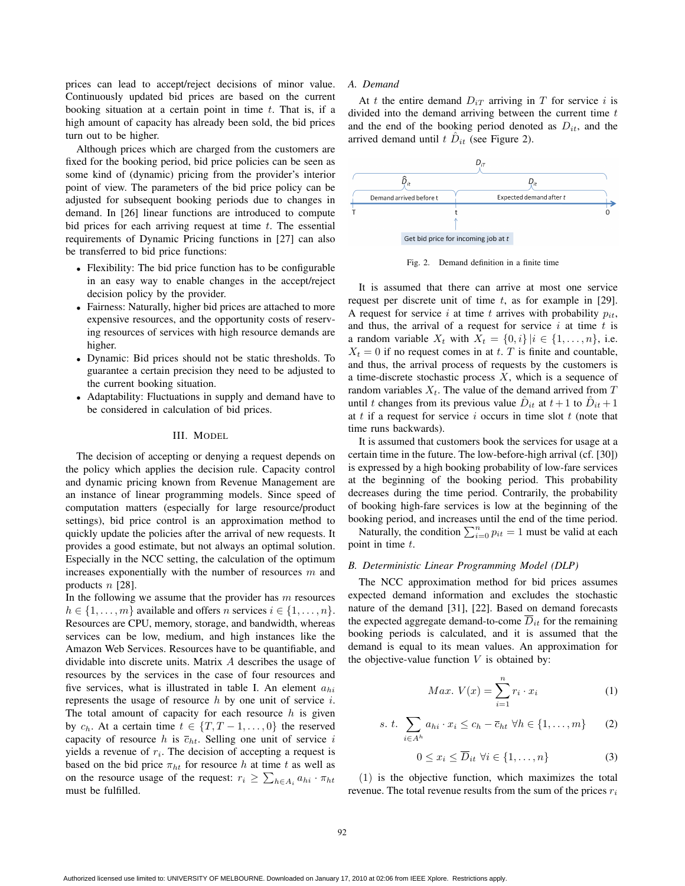prices can lead to accept/reject decisions of minor value. Continuously updated bid prices are based on the current booking situation at a certain point in time  $t$ . That is, if a high amount of capacity has already been sold, the bid prices turn out to be higher.

Although prices which are charged from the customers are fixed for the booking period, bid price policies can be seen as some kind of (dynamic) pricing from the provider's interior point of view. The parameters of the bid price policy can be adjusted for subsequent booking periods due to changes in demand. In [26] linear functions are introduced to compute bid prices for each arriving request at time  $t$ . The essential requirements of Dynamic Pricing functions in [27] can also be transferred to bid price functions:

- Flexibility: The bid price function has to be configurable in an easy way to enable changes in the accept/reject decision policy by the provider.
- Fairness: Naturally, higher bid prices are attached to more expensive resources, and the opportunity costs of reserving resources of services with high resource demands are higher.
- Dynamic: Bid prices should not be static thresholds. To guarantee a certain precision they need to be adjusted to the current booking situation.
- Adaptability: Fluctuations in supply and demand have to be considered in calculation of bid prices.

#### III. MODEL

The decision of accepting or denying a request depends on the policy which applies the decision rule. Capacity control and dynamic pricing known from Revenue Management are an instance of linear programming models. Since speed of computation matters (especially for large resource/product settings), bid price control is an approximation method to quickly update the policies after the arrival of new requests. It provides a good estimate, but not always an optimal solution. Especially in the NCC setting, the calculation of the optimum increases exponentially with the number of resources  $m$  and products n [28].

In the following we assume that the provider has  $m$  resources  $h \in \{1, \ldots, m\}$  available and offers n services  $i \in \{1, \ldots, n\}$ . Resources are CPU, memory, storage, and bandwidth, whereas services can be low, medium, and high instances like the Amazon Web Services. Resources have to be quantifiable, and dividable into discrete units. Matrix A describes the usage of resources by the services in the case of four resources and five services, what is illustrated in table I. An element  $a_{hi}$ represents the usage of resource  $h$  by one unit of service  $i$ . The total amount of capacity for each resource  $h$  is given by  $c_h$ . At a certain time  $t \in \{T, T-1, \ldots, 0\}$  the reserved capacity of resource h is  $\overline{c}_{ht}$ . Selling one unit of service i yields a revenue of  $r_i$ . The decision of accepting a request is based on the bid price  $\pi_{ht}$  for resource h at time t as well as on the resource usage of the request:  $r_i \geq \sum_{h \in A_i} a_{hi} \cdot \pi_{ht}$ must be fulfilled.

## *A. Demand*

At t the entire demand  $D_{iT}$  arriving in T for service i is divided into the demand arriving between the current time  $t$ and the end of the booking period denoted as  $D_{it}$ , and the arrived demand until  $t \hat{D}_{it}$  (see Figure 2).



Fig. 2. Demand definition in a finite time

It is assumed that there can arrive at most one service request per discrete unit of time  $t$ , as for example in [29]. A request for service i at time t arrives with probability  $p_{it}$ , and thus, the arrival of a request for service  $i$  at time  $t$  is a random variable  $X_t$  with  $X_t = \{0, i\} | i \in \{1, \ldots, n\}$ , i.e.  $X_t = 0$  if no request comes in at t. T is finite and countable, and thus, the arrival process of requests by the customers is a time-discrete stochastic process  $X$ , which is a sequence of random variables  $X_t$ . The value of the demand arrived from  $T$ until t changes from its previous value  $\hat{D}_{it}$  at  $t+1$  to  $\hat{D}_{it}+1$ at t if a request for service i occurs in time slot t (note that time runs backwards).

It is assumed that customers book the services for usage at a certain time in the future. The low-before-high arrival (cf. [30]) is expressed by a high booking probability of low-fare services at the beginning of the booking period. This probability decreases during the time period. Contrarily, the probability of booking high-fare services is low at the beginning of the booking period, and increases until the end of the time period.

Naturally, the condition  $\sum_{i=0}^{n} p_{it} = 1$  must be valid at each point in time  $t$ .

## *B. Deterministic Linear Programming Model (DLP)*

The NCC approximation method for bid prices assumes expected demand information and excludes the stochastic nature of the demand [31], [22]. Based on demand forecasts the expected aggregate demand-to-come  $\overline{D}_{it}$  for the remaining booking periods is calculated, and it is assumed that the demand is equal to its mean values. An approximation for the objective-value function  $V$  is obtained by:

$$
Max. V(x) = \sum_{i=1}^{n} r_i \cdot x_i
$$
 (1)

s. t. 
$$
\sum_{i \in A^h} a_{hi} \cdot x_i \leq c_h - \overline{c}_{ht} \ \forall h \in \{1, ..., m\} \qquad (2)
$$

$$
0 \le x_i \le \overline{D}_{it} \ \forall i \in \{1, \dots, n\} \tag{3}
$$

(1) is the objective function, which maximizes the total revenue. The total revenue results from the sum of the prices  $r_i$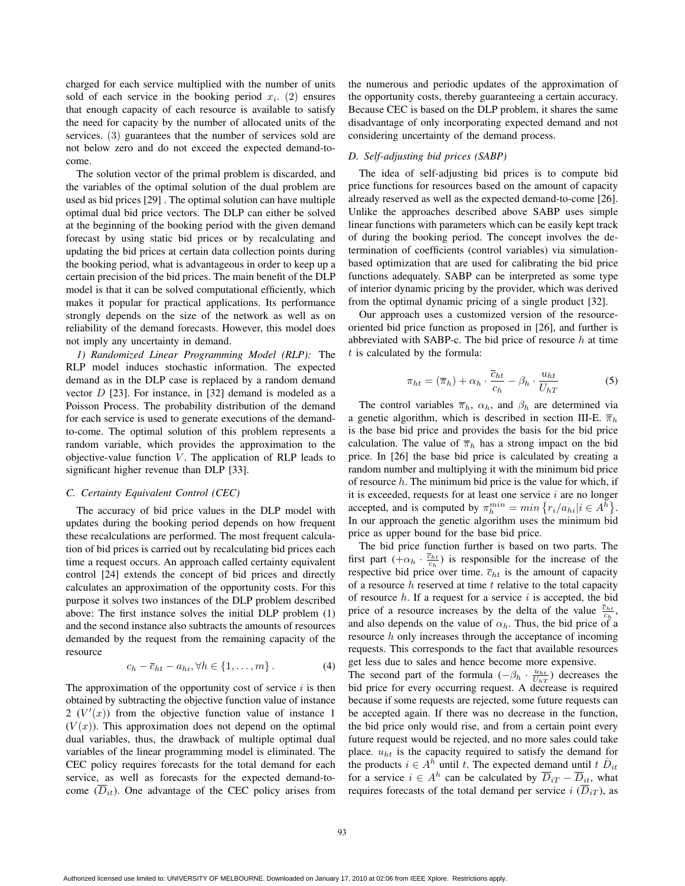charged for each service multiplied with the number of units sold of each service in the booking period  $x_i$ . (2) ensures that enough capacity of each resource is available to satisfy the need for capacity by the number of allocated units of the services. (3) guarantees that the number of services sold are not below zero and do not exceed the expected demand-tocome.

The solution vector of the primal problem is discarded, and the variables of the optimal solution of the dual problem are used as bid prices [29] . The optimal solution can have multiple optimal dual bid price vectors. The DLP can either be solved at the beginning of the booking period with the given demand forecast by using static bid prices or by recalculating and updating the bid prices at certain data collection points during the booking period, what is advantageous in order to keep up a certain precision of the bid prices. The main benefit of the DLP model is that it can be solved computational efficiently, which makes it popular for practical applications. Its performance strongly depends on the size of the network as well as on reliability of the demand forecasts. However, this model does not imply any uncertainty in demand.

*1) Randomized Linear Programming Model (RLP):* The RLP model induces stochastic information. The expected demand as in the DLP case is replaced by a random demand vector  $D$  [23]. For instance, in [32] demand is modeled as a Poisson Process. The probability distribution of the demand for each service is used to generate executions of the demandto-come. The optimal solution of this problem represents a random variable, which provides the approximation to the objective-value function  $V$ . The application of RLP leads to significant higher revenue than DLP [33].

# *C. Certainty Equivalent Control (CEC)*

The accuracy of bid price values in the DLP model with updates during the booking period depends on how frequent these recalculations are performed. The most frequent calculation of bid prices is carried out by recalculating bid prices each time a request occurs. An approach called certainty equivalent control [24] extends the concept of bid prices and directly calculates an approximation of the opportunity costs. For this purpose it solves two instances of the DLP problem described above: The first instance solves the initial DLP problem (1) and the second instance also subtracts the amounts of resources demanded by the request from the remaining capacity of the resource

$$
c_h - \overline{c}_{ht} - a_{hi}, \forall h \in \{1, \dots, m\}.
$$
 (4)

The approximation of the opportunity cost of service  $i$  is then obtained by subtracting the objective function value of instance 2  $(V'(x))$  from the objective function value of instance 1  $(V(x))$ . This approximation does not depend on the optimal dual variables, thus, the drawback of multiple optimal dual variables of the linear programming model is eliminated. The CEC policy requires forecasts for the total demand for each service, as well as forecasts for the expected demand-tocome  $(D_{it})$ . One advantage of the CEC policy arises from the numerous and periodic updates of the approximation of the opportunity costs, thereby guaranteeing a certain accuracy. Because CEC is based on the DLP problem, it shares the same disadvantage of only incorporating expected demand and not considering uncertainty of the demand process.

## *D. Self-adjusting bid prices (SABP)*

The idea of self-adjusting bid prices is to compute bid price functions for resources based on the amount of capacity already reserved as well as the expected demand-to-come [26]. Unlike the approaches described above SABP uses simple linear functions with parameters which can be easily kept track of during the booking period. The concept involves the determination of coefficients (control variables) via simulationbased optimization that are used for calibrating the bid price functions adequately. SABP can be interpreted as some type of interior dynamic pricing by the provider, which was derived from the optimal dynamic pricing of a single product [32].

Our approach uses a customized version of the resourceoriented bid price function as proposed in [26], and further is abbreviated with SABP-c. The bid price of resource  $h$  at time  $t$  is calculated by the formula:

$$
\pi_{ht} = (\overline{\pi}_h) + \alpha_h \cdot \frac{\overline{c}_{ht}}{c_h} - \beta_h \cdot \frac{u_{ht}}{U_{hT}}
$$
(5)

The control variables  $\overline{\pi}_h$ ,  $\alpha_h$ , and  $\beta_h$  are determined via a genetic algorithm, which is described in section III-E.  $\overline{\pi}_h$ is the base bid price and provides the basis for the bid price calculation. The value of  $\overline{\pi}_h$  has a strong impact on the bid price. In [26] the base bid price is calculated by creating a random number and multiplying it with the minimum bid price of resource  $h$ . The minimum bid price is the value for which, if it is exceeded, requests for at least one service  $i$  are no longer accepted, and is computed by  $\pi_h^{min} = min \{ r_i/a_{hi} | i \in A^h \}.$ In our approach the genetic algorithm uses the minimum bid price as upper bound for the base bid price.

The bid price function further is based on two parts. The first part  $(+\alpha_h \cdot \frac{\bar{c}_{ht}}{c_h})$  is responsible for the increase of the respective bid price over time.  $\overline{c}_{ht}$  is the amount of capacity of a resource  $h$  reserved at time  $t$  relative to the total capacity of resource  $h$ . If a request for a service i is accepted, the bid price of a resource increases by the delta of the value  $\frac{\bar{c}_{ht}}{c_h}$ , and also depends on the value of  $\alpha_h$ . Thus, the bid price of a resource h only increases through the acceptance of incoming requests. This corresponds to the fact that available resources get less due to sales and hence become more expensive.

The second part of the formula  $(-\beta_h \cdot \frac{u_{ht}}{U_{hT}})$  decreases the bid price for every occurring request. A decrease is required because if some requests are rejected, some future requests can be accepted again. If there was no decrease in the function, the bid price only would rise, and from a certain point every future request would be rejected, and no more sales could take place.  $u_{ht}$  is the capacity required to satisfy the demand for the products  $i \in A^h$  until t. The expected demand until t  $\hat{D}_{it}$ for a service  $i \in A^h$  can be calculated by  $\overline{D}_{iT} - \overline{D}_{it}$ , what requires forecasts of the total demand per service i  $(\overline{D}_{iT})$ , as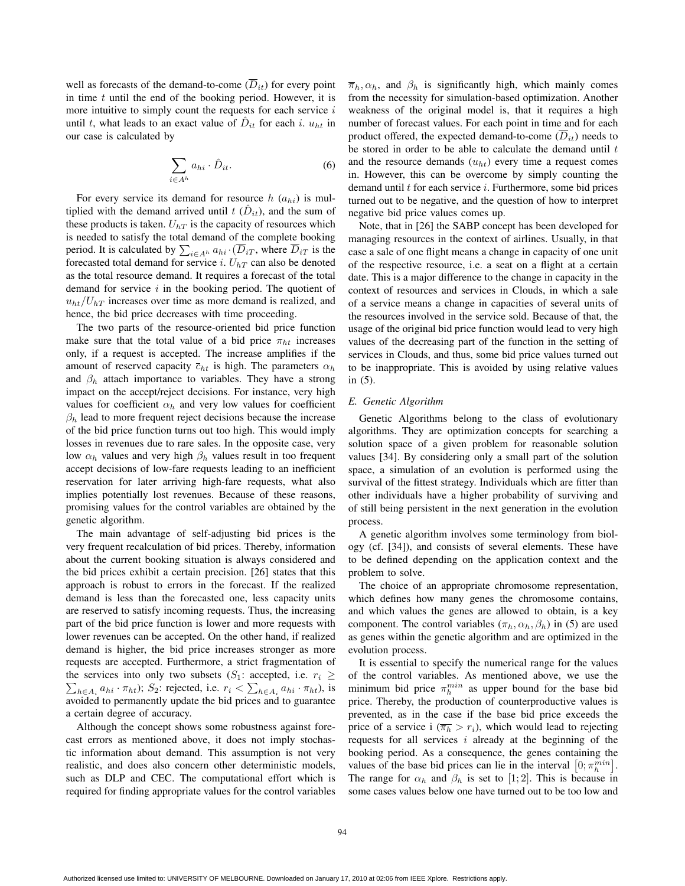well as forecasts of the demand-to-come  $(\overline{D}_{it})$  for every point in time  $t$  until the end of the booking period. However, it is more intuitive to simply count the requests for each service  $i$ until t, what leads to an exact value of  $\hat{D}_{it}$  for each i.  $u_{ht}$  in our case is calculated by

$$
\sum_{i \in A^h} a_{hi} \cdot \hat{D}_{it}.\tag{6}
$$

For every service its demand for resource  $h(a_{hi})$  is multiplied with the demand arrived until  $t \, (\hat{D}_{it})$ , and the sum of these products is taken.  $U_{hT}$  is the capacity of resources which is needed to satisfy the total demand of the complete booking period. It is calculated by  $\sum_{i \in A^h} a_{hi} \cdot (\overline{D}_{iT})$ , where  $\overline{D}_{iT}$  is the forecasted total demand for service i.  $U_{hT}$  can also be denoted as the total resource demand. It requires a forecast of the total demand for service  $i$  in the booking period. The quotient of  $u_{ht}/U_{hT}$  increases over time as more demand is realized, and hence, the bid price decreases with time proceeding.

The two parts of the resource-oriented bid price function make sure that the total value of a bid price  $\pi_{ht}$  increases only, if a request is accepted. The increase amplifies if the amount of reserved capacity  $\overline{c}_{ht}$  is high. The parameters  $\alpha_h$ and  $\beta_h$  attach importance to variables. They have a strong impact on the accept/reject decisions. For instance, very high values for coefficient  $\alpha_h$  and very low values for coefficient  $\beta_h$  lead to more frequent reject decisions because the increase of the bid price function turns out too high. This would imply losses in revenues due to rare sales. In the opposite case, very low  $\alpha_h$  values and very high  $\beta_h$  values result in too frequent accept decisions of low-fare requests leading to an inefficient reservation for later arriving high-fare requests, what also implies potentially lost revenues. Because of these reasons, promising values for the control variables are obtained by the genetic algorithm.

The main advantage of self-adjusting bid prices is the very frequent recalculation of bid prices. Thereby, information about the current booking situation is always considered and the bid prices exhibit a certain precision. [26] states that this approach is robust to errors in the forecast. If the realized demand is less than the forecasted one, less capacity units are reserved to satisfy incoming requests. Thus, the increasing part of the bid price function is lower and more requests with lower revenues can be accepted. On the other hand, if realized demand is higher, the bid price increases stronger as more requests are accepted. Furthermore, a strict fragmentation of the services into only two subsets ( $S_1$ : accepted, i.e.  $r_i \geq$  $\sum_{h \in A_i} a_{hi} \cdot \pi_{ht}$ ); S<sub>2</sub>: rejected, i.e.  $r_i < \sum_{h \in A_i} a_{hi} \cdot \pi_{ht}$ ), is  $\overline{a}$  avoided to permanently update the bid prices and to guarantee a certain degree of accuracy.

Although the concept shows some robustness against forecast errors as mentioned above, it does not imply stochastic information about demand. This assumption is not very realistic, and does also concern other deterministic models, such as DLP and CEC. The computational effort which is required for finding appropriate values for the control variables  $\overline{\pi}_h, \alpha_h$ , and  $\beta_h$  is significantly high, which mainly comes from the necessity for simulation-based optimization. Another weakness of the original model is, that it requires a high number of forecast values. For each point in time and for each product offered, the expected demand-to-come  $(\overline{D}_{it})$  needs to be stored in order to be able to calculate the demand until  $t$ and the resource demands  $(u_{ht})$  every time a request comes in. However, this can be overcome by simply counting the demand until  $t$  for each service  $i$ . Furthermore, some bid prices turned out to be negative, and the question of how to interpret negative bid price values comes up.

Note, that in [26] the SABP concept has been developed for managing resources in the context of airlines. Usually, in that case a sale of one flight means a change in capacity of one unit of the respective resource, i.e. a seat on a flight at a certain date. This is a major difference to the change in capacity in the context of resources and services in Clouds, in which a sale of a service means a change in capacities of several units of the resources involved in the service sold. Because of that, the usage of the original bid price function would lead to very high values of the decreasing part of the function in the setting of services in Clouds, and thus, some bid price values turned out to be inappropriate. This is avoided by using relative values in (5).

#### *E. Genetic Algorithm*

Genetic Algorithms belong to the class of evolutionary algorithms. They are optimization concepts for searching a solution space of a given problem for reasonable solution values [34]. By considering only a small part of the solution space, a simulation of an evolution is performed using the survival of the fittest strategy. Individuals which are fitter than other individuals have a higher probability of surviving and of still being persistent in the next generation in the evolution process.

A genetic algorithm involves some terminology from biology (cf. [34]), and consists of several elements. These have to be defined depending on the application context and the problem to solve.

The choice of an appropriate chromosome representation, which defines how many genes the chromosome contains, and which values the genes are allowed to obtain, is a key component. The control variables ( $\pi_h$ ,  $\alpha_h$ ,  $\beta_h$ ) in (5) are used as genes within the genetic algorithm and are optimized in the evolution process.

It is essential to specify the numerical range for the values of the control variables. As mentioned above, we use the minimum bid price  $\pi_h^{min}$  as upper bound for the base bid price. Thereby, the production of counterproductive values is prevented, as in the case if the base bid price exceeds the price of a service i  $(\overline{\pi_h} > r_i)$ , which would lead to rejecting requests for all services  $i$  already at the beginning of the booking period. As a consequence, the genes containing the values of the base bid prices can lie in the interval  $[0; \pi_h^{min}]$ . The range for  $\alpha_h$  and  $\beta_h$  is set to [1; 2]. This is because in some cases values below one have turned out to be too low and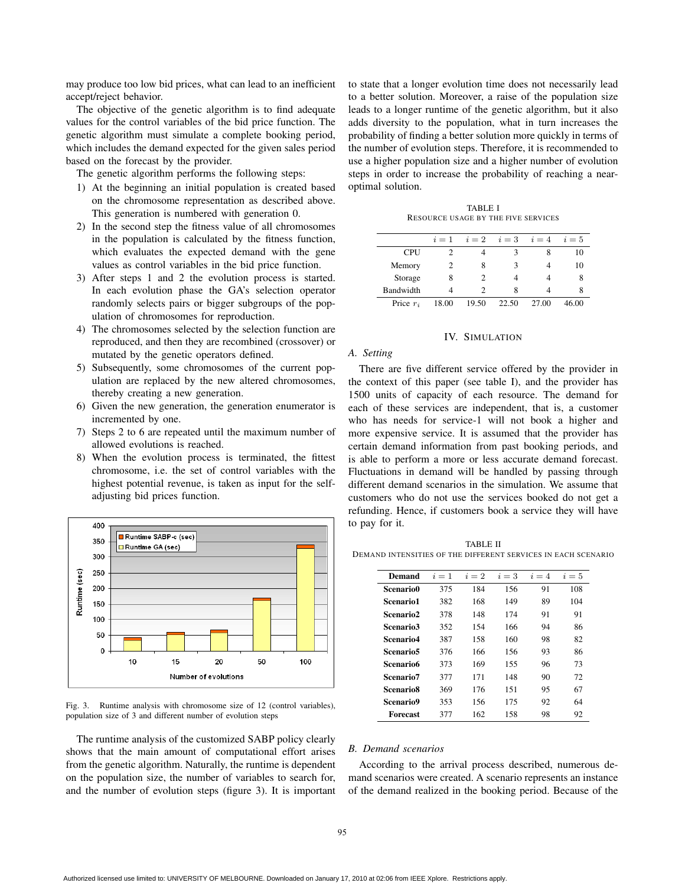may produce too low bid prices, what can lead to an inefficient accept/reject behavior.

The objective of the genetic algorithm is to find adequate values for the control variables of the bid price function. The genetic algorithm must simulate a complete booking period, which includes the demand expected for the given sales period based on the forecast by the provider.

The genetic algorithm performs the following steps:

- 1) At the beginning an initial population is created based on the chromosome representation as described above. This generation is numbered with generation 0.
- 2) In the second step the fitness value of all chromosomes in the population is calculated by the fitness function, which evaluates the expected demand with the gene values as control variables in the bid price function.
- 3) After steps 1 and 2 the evolution process is started. In each evolution phase the GA's selection operator randomly selects pairs or bigger subgroups of the population of chromosomes for reproduction.
- 4) The chromosomes selected by the selection function are reproduced, and then they are recombined (crossover) or mutated by the genetic operators defined.
- 5) Subsequently, some chromosomes of the current population are replaced by the new altered chromosomes, thereby creating a new generation.
- 6) Given the new generation, the generation enumerator is incremented by one.
- 7) Steps 2 to 6 are repeated until the maximum number of allowed evolutions is reached.
- 8) When the evolution process is terminated, the fittest chromosome, i.e. the set of control variables with the highest potential revenue, is taken as input for the selfadjusting bid prices function.



Fig. 3. Runtime analysis with chromosome size of 12 (control variables), population size of 3 and different number of evolution steps

The runtime analysis of the customized SABP policy clearly shows that the main amount of computational effort arises from the genetic algorithm. Naturally, the runtime is dependent on the population size, the number of variables to search for, and the number of evolution steps (figure 3). It is important

to state that a longer evolution time does not necessarily lead to a better solution. Moreover, a raise of the population size leads to a longer runtime of the genetic algorithm, but it also adds diversity to the population, what in turn increases the probability of finding a better solution more quickly in terms of the number of evolution steps. Therefore, it is recommended to use a higher population size and a higher number of evolution steps in order to increase the probability of reaching a nearoptimal solution.

TABLE I RESOURCE USAGE BY THE FIVE SERVICES

|             | $i=1$ | $i=2$ | $i=3$ | $i=4$ | $i=5$ |
|-------------|-------|-------|-------|-------|-------|
| <b>CPU</b>  | 2     |       |       | 8     | 10    |
| Memory      | 2     | 8     | 3     | 4     | 10    |
| Storage     | 8     | 2     |       | 4     | 8     |
| Bandwidth   | 4     | 2     | 8     | 4     | 8     |
| Price $r_i$ | 18.00 | 19.50 | 22.50 | 27.00 | 46.00 |

## IV. SIMULATION

#### *A. Setting*

There are five different service offered by the provider in the context of this paper (see table I), and the provider has 1500 units of capacity of each resource. The demand for each of these services are independent, that is, a customer who has needs for service-1 will not book a higher and more expensive service. It is assumed that the provider has certain demand information from past booking periods, and is able to perform a more or less accurate demand forecast. Fluctuations in demand will be handled by passing through different demand scenarios in the simulation. We assume that customers who do not use the services booked do not get a refunding. Hence, if customers book a service they will have to pay for it.

TABLE II DEMAND INTENSITIES OF THE DIFFERENT SERVICES IN EACH SCENARIO

| Demand           | $i=1$ | $i=2$ | $i=3$ | $i=4$ | $i=5$ |
|------------------|-------|-------|-------|-------|-------|
| Scenario0        | 375   | 184   | 156   | 91    | 108   |
| <b>Scenario1</b> | 382   | 168   | 149   | 89    | 104   |
| Scenario2        | 378   | 148   | 174   | 91    | 91    |
| <b>Scenario3</b> | 352   | 154   | 166   | 94    | 86    |
| Scenario4        | 387   | 158   | 160   | 98    | 82    |
| Scenario5        | 376   | 166   | 156   | 93    | 86    |
| <b>Scenario6</b> | 373   | 169   | 155   | 96    | 73    |
| Scenario7        | 377   | 171   | 148   | 90    | 72    |
| <b>Scenario8</b> | 369   | 176   | 151   | 95    | 67    |
| Scenario9        | 353   | 156   | 175   | 92    | 64    |
| Forecast         | 377   | 162   | 158   | 98    | 92    |

#### *B. Demand scenarios*

According to the arrival process described, numerous demand scenarios were created. A scenario represents an instance of the demand realized in the booking period. Because of the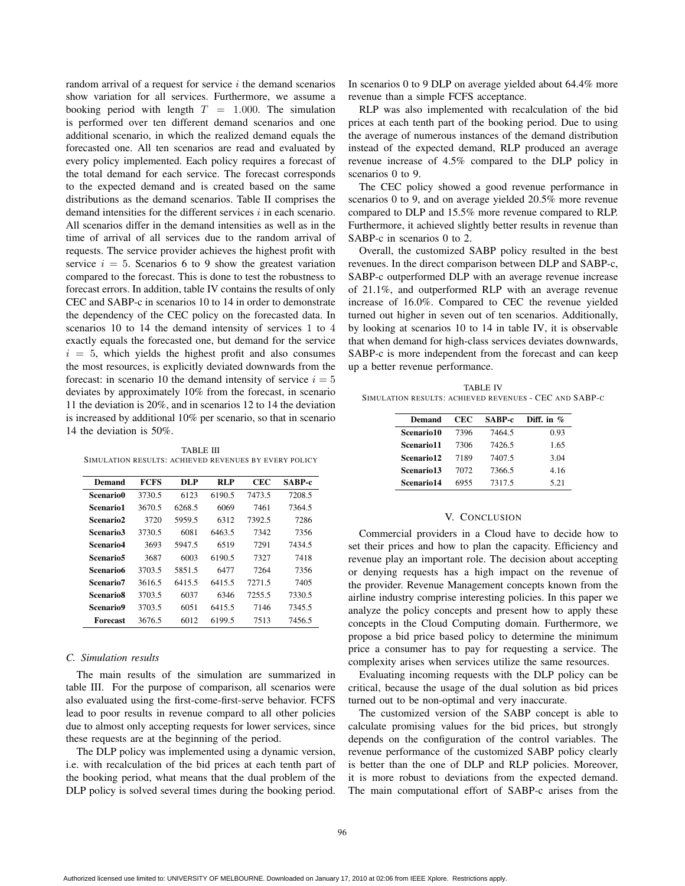random arrival of a request for service  $i$  the demand scenarios show variation for all services. Furthermore, we assume a booking period with length  $T = 1.000$ . The simulation is performed over ten different demand scenarios and one additional scenario, in which the realized demand equals the forecasted one. All ten scenarios are read and evaluated by every policy implemented. Each policy requires a forecast of the total demand for each service. The forecast corresponds to the expected demand and is created based on the same distributions as the demand scenarios. Table II comprises the demand intensities for the different services  $i$  in each scenario. All scenarios differ in the demand intensities as well as in the time of arrival of all services due to the random arrival of requests. The service provider achieves the highest profit with service  $i = 5$ . Scenarios 6 to 9 show the greatest variation compared to the forecast. This is done to test the robustness to forecast errors. In addition, table IV contains the results of only CEC and SABP-c in scenarios 10 to 14 in order to demonstrate the dependency of the CEC policy on the forecasted data. In scenarios 10 to 14 the demand intensity of services 1 to 4 exactly equals the forecasted one, but demand for the service  $i = 5$ , which yields the highest profit and also consumes the most resources, is explicitly deviated downwards from the forecast: in scenario 10 the demand intensity of service  $i = 5$ deviates by approximately 10% from the forecast, in scenario 11 the deviation is 20%, and in scenarios 12 to 14 the deviation is increased by additional 10% per scenario, so that in scenario 14 the deviation is 50%.

TABLE III SIMULATION RESULTS: ACHIEVED REVENUES BY EVERY POLICY

| Demand           | <b>FCFS</b> | DL P   | RL P   | CEC    | <b>SABP-c</b> |
|------------------|-------------|--------|--------|--------|---------------|
| <b>Scenario0</b> | 3730.5      | 6123   | 6190.5 | 7473.5 | 7208.5        |
| <b>Scenario1</b> | 3670.5      | 6268.5 | 6069   | 7461   | 7364.5        |
| Scenario2        | 3720        | 5959.5 | 6312   | 7392.5 | 7286          |
| Scenario3        | 3730.5      | 6081   | 6463.5 | 7342   | 7356          |
| Scenario4        | 3693        | 5947.5 | 6519   | 7291   | 7434.5        |
| Scenario5        | 3687        | 6003   | 6190.5 | 7327   | 7418          |
| Scenario6        | 3703.5      | 5851.5 | 6477   | 7264   | 7356          |
| Scenario7        | 3616.5      | 6415.5 | 6415.5 | 7271.5 | 7405          |
| Scenario8        | 3703.5      | 6037   | 6346   | 7255.5 | 7330.5        |
| Scenario9        | 3703.5      | 6051   | 64155  | 7146   | 7345.5        |
| <b>Forecast</b>  | 3676.5      | 6012   | 6199.5 | 7513   | 7456.5        |

# *C. Simulation results*

The main results of the simulation are summarized in table III. For the purpose of comparison, all scenarios were also evaluated using the first-come-first-serve behavior. FCFS lead to poor results in revenue compard to all other policies due to almost only accepting requests for lower services, since these requests are at the beginning of the period.

The DLP policy was implemented using a dynamic version, i.e. with recalculation of the bid prices at each tenth part of the booking period, what means that the dual problem of the DLP policy is solved several times during the booking period. In scenarios 0 to 9 DLP on average yielded about 64.4% more revenue than a simple FCFS acceptance.

RLP was also implemented with recalculation of the bid prices at each tenth part of the booking period. Due to using the average of numerous instances of the demand distribution instead of the expected demand, RLP produced an average revenue increase of 4.5% compared to the DLP policy in scenarios 0 to 9.

The CEC policy showed a good revenue performance in scenarios 0 to 9, and on average yielded 20.5% more revenue compared to DLP and 15.5% more revenue compared to RLP. Furthermore, it achieved slightly better results in revenue than SABP-c in scenarios 0 to 2.

Overall, the customized SABP policy resulted in the best revenues. In the direct comparison between DLP and SABP-c, SABP-c outperformed DLP with an average revenue increase of 21.1%, and outperformed RLP with an average revenue increase of 16.0%. Compared to CEC the revenue yielded turned out higher in seven out of ten scenarios. Additionally, by looking at scenarios 10 to 14 in table IV, it is observable that when demand for high-class services deviates downwards, SABP-c is more independent from the forecast and can keep up a better revenue performance.

| <b>TABLE IV</b>                                        |  |
|--------------------------------------------------------|--|
| SIMULATION RESULTS: ACHIEVED REVENUES - CEC AND SABP-C |  |

| Demand                 | CEC. | SARP-c | Diff. in $\%$ |
|------------------------|------|--------|---------------|
| Scenario10             | 7396 | 74645  | 0.93          |
| Scenario11             | 7306 | 7426.5 | 1.65          |
| Scenario12             | 7189 | 7407.5 | 3.04          |
| Scenario <sub>13</sub> | 7072 | 7366.5 | 4.16          |
| Scenario14             | 6955 | 7317.5 | 5.21          |

# V. CONCLUSION

Commercial providers in a Cloud have to decide how to set their prices and how to plan the capacity. Efficiency and revenue play an important role. The decision about accepting or denying requests has a high impact on the revenue of the provider. Revenue Management concepts known from the airline industry comprise interesting policies. In this paper we analyze the policy concepts and present how to apply these concepts in the Cloud Computing domain. Furthermore, we propose a bid price based policy to determine the minimum price a consumer has to pay for requesting a service. The complexity arises when services utilize the same resources.

Evaluating incoming requests with the DLP policy can be critical, because the usage of the dual solution as bid prices turned out to be non-optimal and very inaccurate.

The customized version of the SABP concept is able to calculate promising values for the bid prices, but strongly depends on the configuration of the control variables. The revenue performance of the customized SABP policy clearly is better than the one of DLP and RLP policies. Moreover, it is more robust to deviations from the expected demand. The main computational effort of SABP-c arises from the